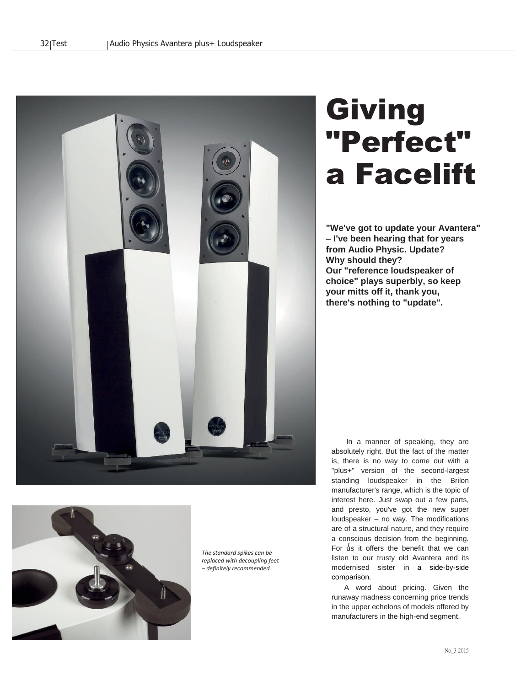

# **Giving** "Perfect" a Facelift

**"We've got to update your Avantera" – I've been hearing that for years from Audio Physic. Update? Why should they? Our "reference loudspeaker of choice" plays superbly, so keep your mitts off it, thank you, there's nothing to "update".**



*The standard spikes can be replaced with decoupling feet – definitely recommended*

For  $\bar{u}$ s it offers the benefit that we can In a manner of speaking, they are absolutely right. But the fact of the matter is, there is no way to come out with a "plus+" version of the second-largest standing loudspeaker in the Brilon manufacturer's range, which is the topic of interest here. Just swap out a few parts, and presto, you've got the new super loudspeaker – no way. The modifications are of a structural nature, and they require a conscious decision from the beginning. listen to our trusty old Avantera and its modernised sister in a side-by-side comparison.

A word about pricing. Given the runaway madness concerning price trends in the upper echelons of models offered by manufacturers in the high-end segment,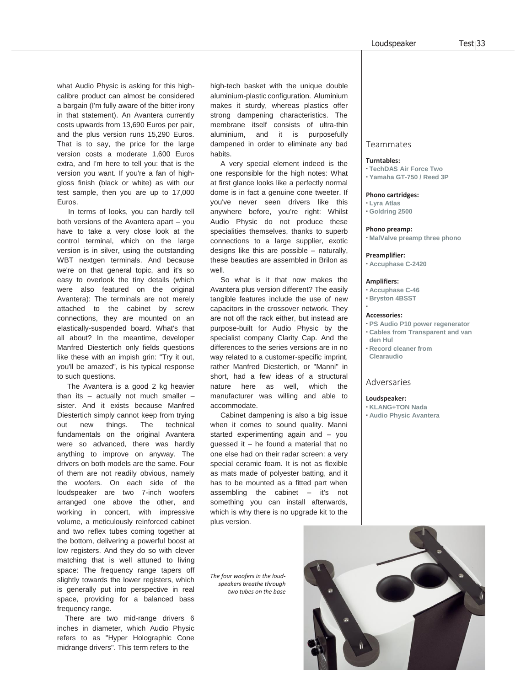what Audio Physic is asking for this highcalibre product can almost be considered a bargain (I'm fully aware of the bitter irony in that statement). An Avantera currently costs upwards from 13,690 Euros per pair, and the plus version runs 15,290 Euros. That is to say, the price for the large version costs a moderate 1,600 Euros extra, and I'm here to tell you: that is the version you want. If you're a fan of highgloss finish (black or white) as with our test sample, then you are up to 17,000 Euros.

 In terms of looks, you can hardly tell both versions of the Avantera apart – you have to take a very close look at the control terminal, which on the large version is in silver, using the outstanding WBT nextgen terminals. And because we're on that general topic, and it's so easy to overlook the tiny details (which were also featured on the original Avantera): The terminals are not merely attached to the cabinet by screw connections, they are mounted on an elastically-suspended board. What's that all about? In the meantime, developer Manfred Diestertich only fields questions like these with an impish grin: "Try it out, you'll be amazed", is his typical response to such questions.

 The Avantera is a good 2 kg heavier than its  $-$  actually not much smaller  $$ sister. And it exists because Manfred Diestertich simply cannot keep from trying out new things. The technical fundamentals on the original Avantera were so advanced, there was hardly anything to improve on anyway. The drivers on both models are the same. Four of them are not readily obvious, namely the woofers. On each side of the loudspeaker are two 7-inch woofers arranged one above the other, and working in concert, with impressive volume, a meticulously reinforced cabinet and two reflex tubes coming together at the bottom, delivering a powerful boost at low registers. And they do so with clever matching that is well attuned to living space: The frequency range tapers off slightly towards the lower registers, which is generally put into perspective in real space, providing for a balanced bass frequency range.

 There are two mid-range drivers 6 inches in diameter, which Audio Physic refers to as "Hyper Holographic Cone midrange drivers". This term refers to the

high-tech basket with the unique double aluminium-plastic configuration. Aluminium makes it sturdy, whereas plastics offer strong dampening characteristics. The membrane itself consists of ultra-thin aluminium, and it is purposefully dampened in order to eliminate any bad habits.

 A very special element indeed is the one responsible for the high notes: What at first glance looks like a perfectly normal dome is in fact a genuine cone tweeter. If you've never seen drivers like this anywhere before, you're right: Whilst Audio Physic do not produce these specialities themselves, thanks to superb connections to a large supplier, exotic designs like this are possible – naturally, these beauties are assembled in Brilon as well.

 So what is it that now makes the Avantera plus version different? The easily tangible features include the use of new capacitors in the crossover network. They are not off the rack either, but instead are purpose-built for Audio Physic by the specialist company Clarity Cap. And the differences to the series versions are in no way related to a customer-specific imprint. rather Manfred Diestertich, or "Manni" in short, had a few ideas of a structural nature here as well, which the manufacturer was willing and able to accommodate.

 Cabinet dampening is also a big issue when it comes to sound quality. Manni started experimenting again and – you guessed it – he found a material that no one else had on their radar screen: a very special ceramic foam. It is not as flexible as mats made of polyester batting, and it has to be mounted as a fitted part when assembling the cabinet – it's not something you can install afterwards, which is why there is no upgrade kit to the plus version.

*The four woofers in the loudspeakers breathe through two tubes on the base*

## Teammates

#### **Turntables:**

- **·TechDAS Air Force Two**
- **·Yamaha GT-750 / Reed 3P**

#### **Phono cartridges:**

- **·Lyra Atlas**
- **·Goldring 2500**

# **Phono preamp:**

**· MalValve preamp three phono**

#### **Preamplifier:**

**· Accuphase C-2420**

#### **Amplifiers:**

- **· Accuphase C-46**
- **· Bryston 4BSST**

#### **Accessories:**

**·**

- **·PS Audio P10 power regenerator**
- **· Cables from Transparent and van den Hul**
- **· Record cleaner from Clearaudio**

#### Adversaries

**Loudspeaker: · KLANG+TON Nada · Audio Physic Avantera**

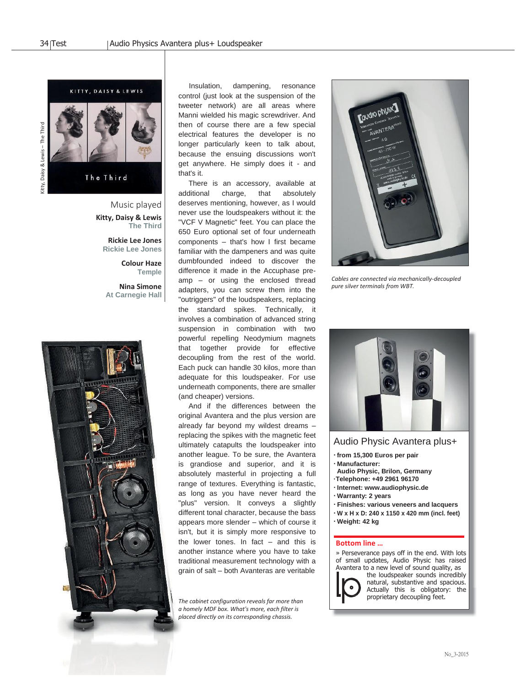

The Third

Daisy & Lewis - The Third Kitty, Daisy & Lewis – The Third

> Music played **Kitty, Daisy & Lewis The Third**

> > **Rickie Lee Jones Rickie Lee Jones**

> > > **Colour Haze Temple**

**Nina Simone At Carnegie Hall**



 Insulation, dampening, resonance control (just look at the suspension of the tweeter network) are all areas where Manni wielded his magic screwdriver. And then of course there are a few special electrical features the developer is no longer particularly keen to talk about, because the ensuing discussions won't get anywhere. He simply does it - and that's it.

 There is an accessory, available at additional charge, that absolutely deserves mentioning, however, as I would never use the loudspeakers without it: the "VCF V Magnetic" feet. You can place the 650 Euro optional set of four underneath components – that's how I first became familiar with the dampeners and was quite dumbfounded indeed to discover the difference it made in the Accuphase preamp – or using the enclosed thread adapters, you can screw them into the "outriggers" of the loudspeakers, replacing the standard spikes. Technically, it involves a combination of advanced string suspension in combination with two powerful repelling Neodymium magnets that together provide for effective decoupling from the rest of the world. Each puck can handle 30 kilos, more than adequate for this loudspeaker. For use underneath components, there are smaller (and cheaper) versions.

 And if the differences between the original Avantera and the plus version are already far beyond my wildest dreams – replacing the spikes with the magnetic feet ultimately catapults the loudspeaker into another league. To be sure, the Avantera is grandiose and superior, and it is absolutely masterful in projecting a full range of textures. Everything is fantastic, as long as you have never heard the "plus" version. It conveys a slightly different tonal character, because the bass appears more slender – which of course it isn't, but it is simply more responsive to the lower tones. In fact  $-$  and this is another instance where you have to take traditional measurement technology with a grain of salt – both Avanteras are veritable

*The cabinet configuration reveals far more than a homely MDF box. What's more, each filter is placed directly on its corresponding chassis.*



*Cables are connected via mechanically-decoupled pure silver terminals from WBT.*



# Audio Physic Avantera plus+

- **·from 15,300 Euros per pair**
- **· Manufacturer: Audio Physic, Brilon, Germany**
- **·Telephone: +49 2961 96170**
- **·Internet: [www.audiophysic.de](http://www.audiophysic.de/)**
- **·Warranty: 2 years**
- **· Finishes: various veneers and lacquers ·W x H x D: 240 x 1150 x 420 mm (incl. feet)**
- **·Weight: 42 kg**

### **Bottom line …**

» Perseverance pays off in the end. With lots of small updates, Audio Physic has raised Avantera to a new level of sound quality, as

the loudspeaker sounds incredibly natural, substantive and spacious. Actually this is obligatory: the proprietary decoupling feet.